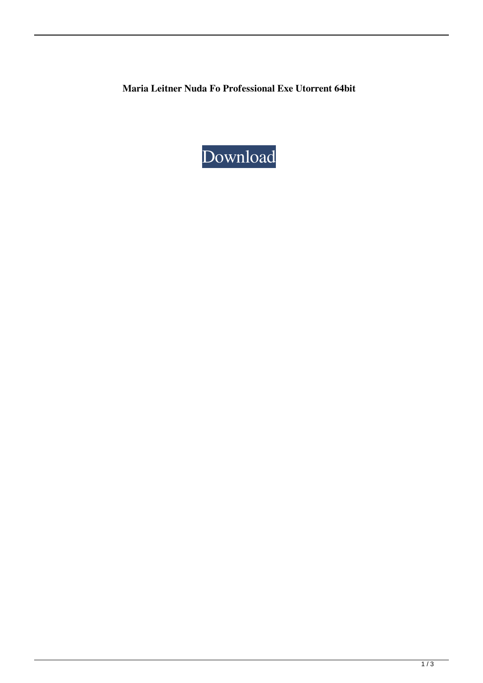**Maria Leitner Nuda Fo Professional Exe Utorrent 64bit**

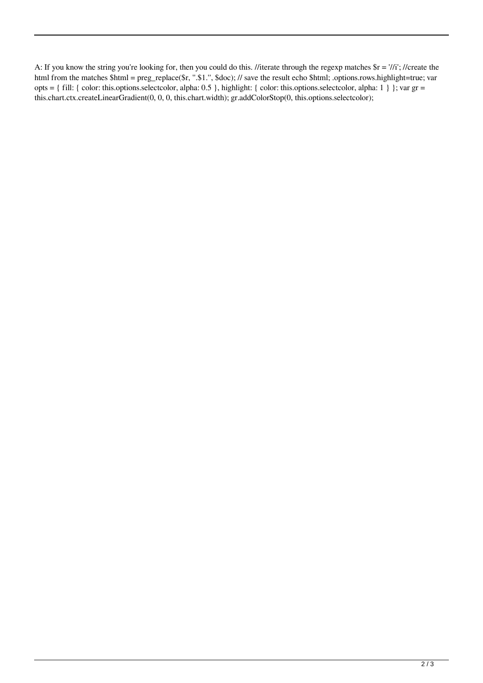A: If you know the string you're looking for, then you could do this. //iterate through the regexp matches \$r = '//i'; //create the html from the matches \$html = preg\_replace(\$r, ".\$1.", \$doc); // save the result echo \$html; .options.rows.highlight=true; var opts = { fill: { color: this.options.selectcolor, alpha:  $0.5$  }, highlight: { color: this.options.selectcolor, alpha:  $1$  } }; var gr = this.chart.ctx.createLinearGradient(0, 0, 0, this.chart.width); gr.addColorStop(0, this.options.selectcolor);